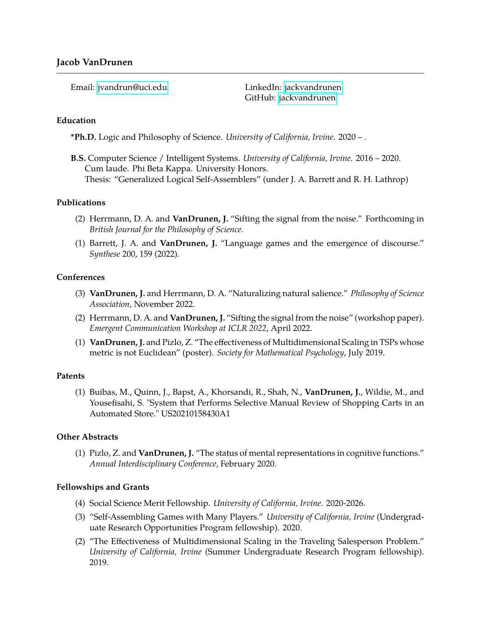Email: [jvandrun@uci.edu](mailto:jvandrun@uci.edu) LinkedIn: [jackvandrunen](https://linkedin.com/in/jackvandrunen)

GitHub: [jackvandrunen](https://github.com/jackvandrunen)

### **Education**

**\*Ph.D.** Logic and Philosophy of Science. *University of California, Irvine*. 2020 – .

**B.S.** Computer Science / Intelligent Systems. *University of California, Irvine*. 2016 – 2020. Cum laude. Phi Beta Kappa. University Honors. Thesis: "Generalized Logical Self-Assemblers" (under J. A. Barrett and R. H. Lathrop)

## **Publications**

- (2) Herrmann, D. A. and **VanDrunen, J.** "Sifting the signal from the noise." Forthcoming in *British Journal for the Philosophy of Science*.
- (1) Barrett, J. A. and **VanDrunen, J.** "Language games and the emergence of discourse." *Synthese* 200, 159 (2022).

## **Conferences**

- (3) **VanDrunen, J.** and Herrmann, D. A. "Naturalizing natural salience." *Philosophy of Science Association*, November 2022.
- (2) Herrmann, D. A. and **VanDrunen, J.** "Sifting the signal from the noise" (workshop paper). *Emergent Communication Workshop at ICLR 2022*, April 2022.
- (1) **VanDrunen, J.** and Pizlo, Z. "The effectiveness of Multidimensional Scaling in TSPs whose metric is not Euclidean" (poster). *Society for Mathematical Psychology*, July 2019.

#### **Patents**

(1) Buibas, M., Quinn, J., Bapst, A., Khorsandi, R., Shah, N., **VanDrunen, J.**, Wildie, M., and Yousefisahi, S. "System that Performs Selective Manual Review of Shopping Carts in an Automated Store." US20210158430A1

# **Other Abstracts**

(1) Pizlo, Z. and **VanDrunen, J.** "The status of mental representations in cognitive functions." *Annual Interdisciplinary Conference*, February 2020.

# **Fellowships and Grants**

- (4) Social Science Merit Fellowship. *University of California, Irvine*. 2020-2026.
- (3) "Self-Assembling Games with Many Players." *University of California, Irvine* (Undergraduate Research Opportunities Program fellowship). 2020.
- (2) "The Effectiveness of Multidimensional Scaling in the Traveling Salesperson Problem." *University of California, Irvine* (Summer Undergraduate Research Program fellowship). 2019.